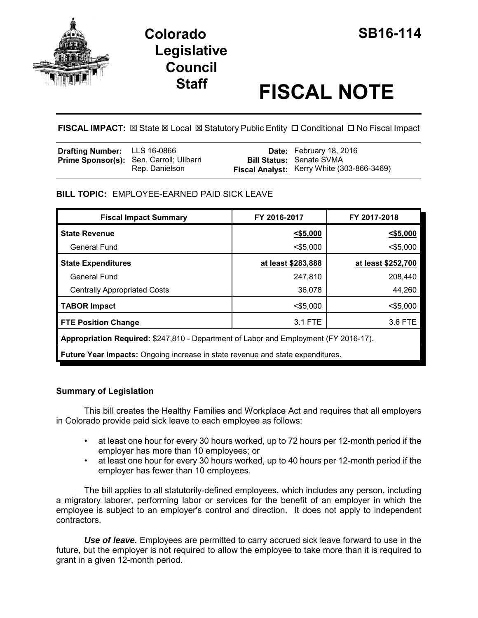

# **Colorado SB16-114 Legislative Council**

# **Staff FISCAL NOTE**

**FISCAL IMPACT:**  $\boxtimes$  **State**  $\boxtimes$  **Local**  $\boxtimes$  **Statutory Public Entity □ Conditional □ No Fiscal Impact** 

| <b>Drafting Number:</b> LLS 16-0866 |                                                                   | <b>Date:</b> February 18, 2016                                                |
|-------------------------------------|-------------------------------------------------------------------|-------------------------------------------------------------------------------|
|                                     | <b>Prime Sponsor(s):</b> Sen. Carroll; Ulibarri<br>Rep. Danielson | <b>Bill Status: Senate SVMA</b><br>Fiscal Analyst: Kerry White (303-866-3469) |

## **BILL TOPIC:** EMPLOYEE-EARNED PAID SICK LEAVE

| <b>Fiscal Impact Summary</b>                                                          | FY 2016-2017       | FY 2017-2018       |  |  |  |
|---------------------------------------------------------------------------------------|--------------------|--------------------|--|--|--|
| <b>State Revenue</b>                                                                  | $<$ \$5,000        | $<$ \$5,000        |  |  |  |
| General Fund                                                                          | $<$ \$5,000        | $<$ \$5,000        |  |  |  |
| <b>State Expenditures</b>                                                             | at least \$283,888 | at least \$252,700 |  |  |  |
| <b>General Fund</b>                                                                   | 247,810            | 208,440            |  |  |  |
| <b>Centrally Appropriated Costs</b>                                                   | 36,078             | 44,260             |  |  |  |
| <b>TABOR Impact</b>                                                                   | $<$ \$5,000        | $<$ \$5,000        |  |  |  |
| <b>FTE Position Change</b>                                                            | 3.1 FTE            | 3.6 FTE            |  |  |  |
| Appropriation Required: \$247,810 - Department of Labor and Employment (FY 2016-17).  |                    |                    |  |  |  |
| <b>Future Year Impacts:</b> Ongoing increase in state revenue and state expenditures. |                    |                    |  |  |  |
|                                                                                       |                    |                    |  |  |  |

### **Summary of Legislation**

This bill creates the Healthy Families and Workplace Act and requires that all employers in Colorado provide paid sick leave to each employee as follows:

- at least one hour for every 30 hours worked, up to 72 hours per 12-month period if the employer has more than 10 employees; or
- at least one hour for every 30 hours worked, up to 40 hours per 12-month period if the employer has fewer than 10 employees.

The bill applies to all statutorily-defined employees, which includes any person, including a migratory laborer, performing labor or services for the benefit of an employer in which the employee is subject to an employer's control and direction. It does not apply to independent contractors.

*Use of leave.* Employees are permitted to carry accrued sick leave forward to use in the future, but the employer is not required to allow the employee to take more than it is required to grant in a given 12-month period.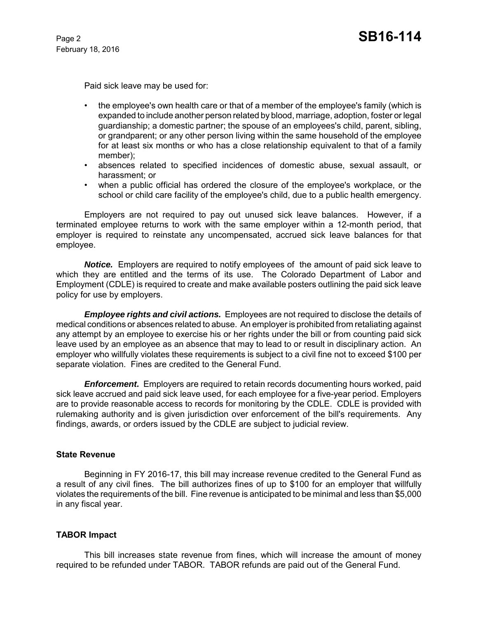February 18, 2016

Paid sick leave may be used for:

- the employee's own health care or that of a member of the employee's family (which is expanded to include another person related by blood, marriage, adoption, foster or legal guardianship; a domestic partner; the spouse of an employees's child, parent, sibling, or grandparent; or any other person living within the same household of the employee for at least six months or who has a close relationship equivalent to that of a family member);
- absences related to specified incidences of domestic abuse, sexual assault, or harassment; or
- when a public official has ordered the closure of the employee's workplace, or the school or child care facility of the employee's child, due to a public health emergency.

Employers are not required to pay out unused sick leave balances. However, if a terminated employee returns to work with the same employer within a 12-month period, that employer is required to reinstate any uncompensated, accrued sick leave balances for that employee.

*Notice.* Employers are required to notify employees of the amount of paid sick leave to which they are entitled and the terms of its use. The Colorado Department of Labor and Employment (CDLE) is required to create and make available posters outlining the paid sick leave policy for use by employers.

*Employee rights and civil actions.* Employees are not required to disclose the details of medical conditions or absences related to abuse. An employer is prohibited from retaliating against any attempt by an employee to exercise his or her rights under the bill or from counting paid sick leave used by an employee as an absence that may to lead to or result in disciplinary action. An employer who willfully violates these requirements is subject to a civil fine not to exceed \$100 per separate violation. Fines are credited to the General Fund.

*Enforcement.* Employers are required to retain records documenting hours worked, paid sick leave accrued and paid sick leave used, for each employee for a five-year period. Employers are to provide reasonable access to records for monitoring by the CDLE. CDLE is provided with rulemaking authority and is given jurisdiction over enforcement of the bill's requirements. Any findings, awards, or orders issued by the CDLE are subject to judicial review.

#### **State Revenue**

Beginning in FY 2016-17, this bill may increase revenue credited to the General Fund as a result of any civil fines. The bill authorizes fines of up to \$100 for an employer that willfully violates the requirements of the bill. Fine revenue is anticipated to be minimal and less than \$5,000 in any fiscal year.

#### **TABOR Impact**

This bill increases state revenue from fines, which will increase the amount of money required to be refunded under TABOR. TABOR refunds are paid out of the General Fund.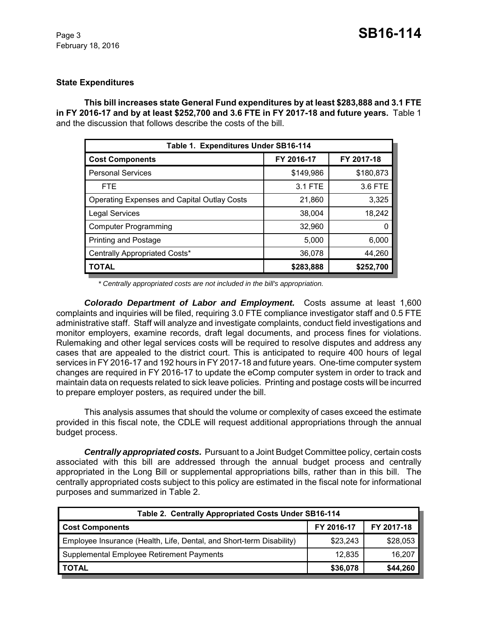#### **State Expenditures**

**This bill increases state General Fund expenditures by at least \$283,888 and 3.1 FTE in FY 2016-17 and by at least \$252,700 and 3.6 FTE in FY 2017-18 and future years.** Table 1 and the discussion that follows describe the costs of the bill.

| Table 1. Expenditures Under SB16-114               |            |            |  |  |  |  |
|----------------------------------------------------|------------|------------|--|--|--|--|
| <b>Cost Components</b>                             | FY 2016-17 | FY 2017-18 |  |  |  |  |
| <b>Personal Services</b>                           | \$149,986  | \$180,873  |  |  |  |  |
| <b>FTE</b>                                         | 3.1 FTE    | 3.6 FTE    |  |  |  |  |
| <b>Operating Expenses and Capital Outlay Costs</b> | 21,860     | 3,325      |  |  |  |  |
| <b>Legal Services</b>                              | 38,004     | 18,242     |  |  |  |  |
| <b>Computer Programming</b>                        | 32,960     | 0          |  |  |  |  |
| <b>Printing and Postage</b>                        | 5,000      | 6,000      |  |  |  |  |
| Centrally Appropriated Costs*                      | 36,078     | 44,260     |  |  |  |  |
| <b>TOTAL</b>                                       | \$283,888  | \$252,700  |  |  |  |  |

*\* Centrally appropriated costs are not included in the bill's appropriation.*

*Colorado Department of Labor and Employment.* Costs assume at least 1,600 complaints and inquiries will be filed, requiring 3.0 FTE compliance investigator staff and 0.5 FTE administrative staff. Staff will analyze and investigate complaints, conduct field investigations and monitor employers, examine records, draft legal documents, and process fines for violations. Rulemaking and other legal services costs will be required to resolve disputes and address any cases that are appealed to the district court. This is anticipated to require 400 hours of legal services in FY 2016-17 and 192 hours in FY 2017-18 and future years. One-time computer system changes are required in FY 2016-17 to update the eComp computer system in order to track and maintain data on requests related to sick leave policies. Printing and postage costs will be incurred to prepare employer posters, as required under the bill.

This analysis assumes that should the volume or complexity of cases exceed the estimate provided in this fiscal note, the CDLE will request additional appropriations through the annual budget process.

*Centrally appropriated costs.* Pursuant to a Joint Budget Committee policy, certain costs associated with this bill are addressed through the annual budget process and centrally appropriated in the Long Bill or supplemental appropriations bills, rather than in this bill. The centrally appropriated costs subject to this policy are estimated in the fiscal note for informational purposes and summarized in Table 2.

| Table 2. Centrally Appropriated Costs Under SB16-114                 |            |            |  |  |  |
|----------------------------------------------------------------------|------------|------------|--|--|--|
| <b>Cost Components</b>                                               | FY 2016-17 | FY 2017-18 |  |  |  |
| Employee Insurance (Health, Life, Dental, and Short-term Disability) | \$23,243   | \$28,053   |  |  |  |
| Supplemental Employee Retirement Payments                            | 12,835     | 16,207     |  |  |  |
| <b>TOTAL</b>                                                         | \$36,078   | \$44,260   |  |  |  |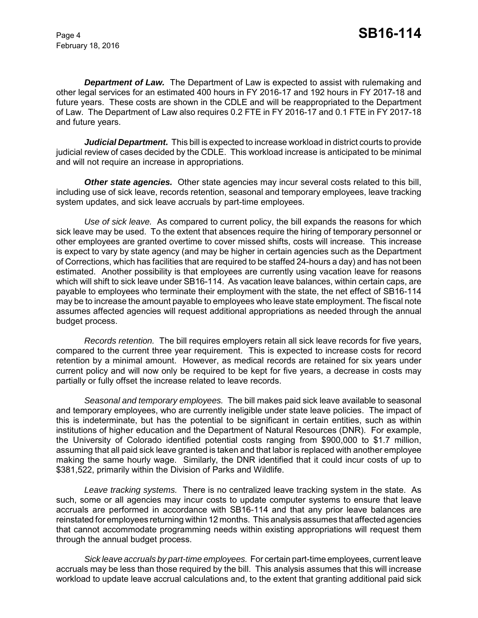February 18, 2016

*Department of Law.* The Department of Law is expected to assist with rulemaking and other legal services for an estimated 400 hours in FY 2016-17 and 192 hours in FY 2017-18 and future years. These costs are shown in the CDLE and will be reappropriated to the Department of Law. The Department of Law also requires 0.2 FTE in FY 2016-17 and 0.1 FTE in FY 2017-18 and future years.

*Judicial Department.* This bill is expected to increase workload in district courts to provide judicial review of cases decided by the CDLE. This workload increase is anticipated to be minimal and will not require an increase in appropriations.

**Other state agencies.** Other state agencies may incur several costs related to this bill, including use of sick leave, records retention, seasonal and temporary employees, leave tracking system updates, and sick leave accruals by part-time employees.

*Use of sick leave.* As compared to current policy, the bill expands the reasons for which sick leave may be used. To the extent that absences require the hiring of temporary personnel or other employees are granted overtime to cover missed shifts, costs will increase. This increase is expect to vary by state agency (and may be higher in certain agencies such as the Department of Corrections, which has facilities that are required to be staffed 24-hours a day) and has not been estimated. Another possibility is that employees are currently using vacation leave for reasons which will shift to sick leave under SB16-114. As vacation leave balances, within certain caps, are payable to employees who terminate their employment with the state, the net effect of SB16-114 may be to increase the amount payable to employees who leave state employment. The fiscal note assumes affected agencies will request additional appropriations as needed through the annual budget process.

*Records retention.* The bill requires employers retain all sick leave records for five years, compared to the current three year requirement. This is expected to increase costs for record retention by a minimal amount. However, as medical records are retained for six years under current policy and will now only be required to be kept for five years, a decrease in costs may partially or fully offset the increase related to leave records.

*Seasonal and temporary employees.* The bill makes paid sick leave available to seasonal and temporary employees, who are currently ineligible under state leave policies. The impact of this is indeterminate, but has the potential to be significant in certain entities, such as within institutions of higher education and the Department of Natural Resources (DNR). For example, the University of Colorado identified potential costs ranging from \$900,000 to \$1.7 million, assuming that all paid sick leave granted is taken and that labor is replaced with another employee making the same hourly wage. Similarly, the DNR identified that it could incur costs of up to \$381,522, primarily within the Division of Parks and Wildlife.

*Leave tracking systems.* There is no centralized leave tracking system in the state. As such, some or all agencies may incur costs to update computer systems to ensure that leave accruals are performed in accordance with SB16-114 and that any prior leave balances are reinstated for employees returning within 12 months. This analysis assumes that affected agencies that cannot accommodate programming needs within existing appropriations will request them through the annual budget process.

*Sick leave accruals by part-time employees.* For certain part-time employees, current leave accruals may be less than those required by the bill. This analysis assumes that this will increase workload to update leave accrual calculations and, to the extent that granting additional paid sick